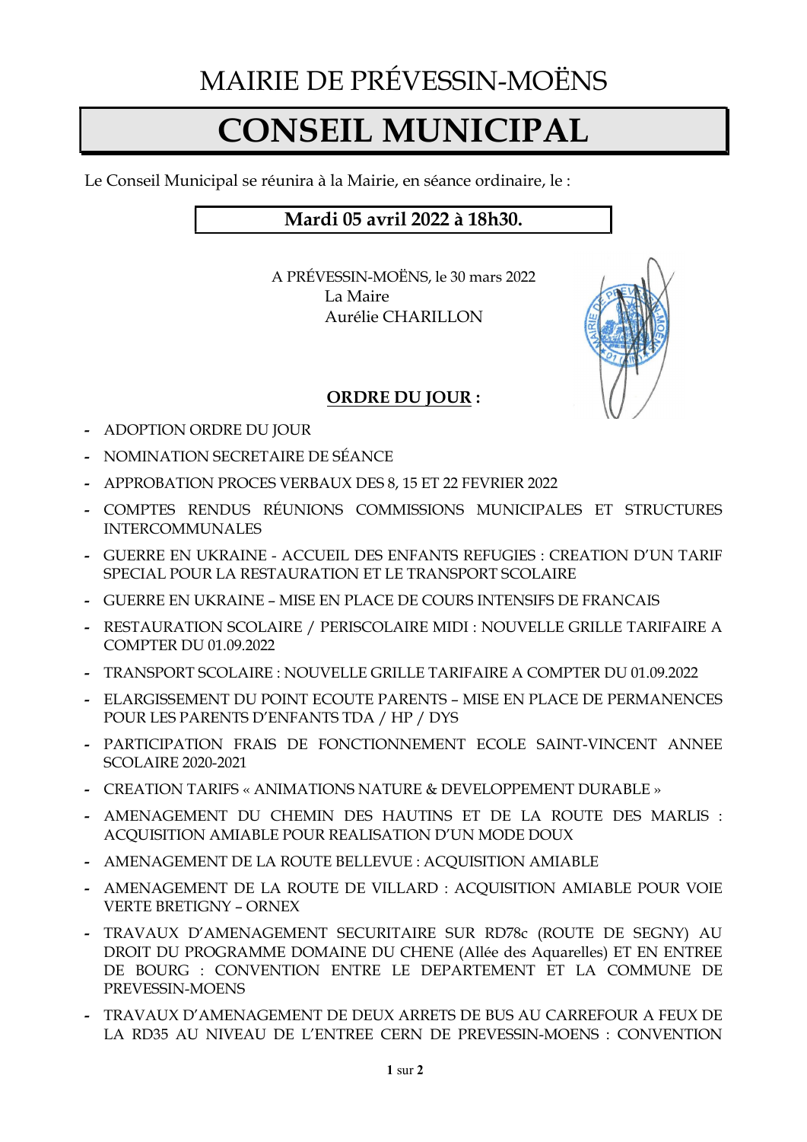## MAIRIE DE PRÉVESSIN-MOËNS

## CONSEIL MUNICIPAL

Le Conseil Municipal se réunira à la Mairie, en séance ordinaire, le :

## Mardi 05 avril 2022 à 18h30.

A PRÉVESSIN-MOËNS, le 30 mars 2022 La Maire Aurélie CHARILLON



## ORDRE DU JOUR :

- ADOPTION ORDRE DU JOUR
- NOMINATION SECRETAIRE DE SÉANCE
- APPROBATION PROCES VERBAUX DES 8, 15 ET 22 FEVRIER 2022
- COMPTES RENDUS RÉUNIONS COMMISSIONS MUNICIPALES ET STRUCTURES INTERCOMMUNALES
- GUERRE EN UKRAINE ACCUEIL DES ENFANTS REFUGIES : CREATION D'UN TARIF SPECIAL POUR LA RESTAURATION ET LE TRANSPORT SCOLAIRE
- GUERRE EN UKRAINE MISE EN PLACE DE COURS INTENSIFS DE FRANCAIS
- RESTAURATION SCOLAIRE / PERISCOLAIRE MIDI : NOUVELLE GRILLE TARIFAIRE A COMPTER DU 01.09.2022
- TRANSPORT SCOLAIRE : NOUVELLE GRILLE TARIFAIRE A COMPTER DU 01.09.2022
- ELARGISSEMENT DU POINT ECOUTE PARENTS MISE EN PLACE DE PERMANENCES POUR LES PARENTS D'ENFANTS TDA / HP / DYS
- PARTICIPATION FRAIS DE FONCTIONNEMENT ECOLE SAINT-VINCENT ANNEE SCOLAIRE 2020-2021
- CREATION TARIFS « ANIMATIONS NATURE & DEVELOPPEMENT DURABLE »
- AMENAGEMENT DU CHEMIN DES HAUTINS ET DE LA ROUTE DES MARLIS : ACQUISITION AMIABLE POUR REALISATION D'UN MODE DOUX
- AMENAGEMENT DE LA ROUTE BELLEVUE : ACQUISITION AMIABLE
- AMENAGEMENT DE LA ROUTE DE VILLARD : ACOUISITION AMIABLE POUR VOIE VERTE BRETIGNY – ORNEX
- TRAVAUX D'AMENAGEMENT SECURITAIRE SUR RD78c (ROUTE DE SEGNY) AU DROIT DU PROGRAMME DOMAINE DU CHENE (Allée des Aquarelles) ET EN ENTREE DE BOURG : CONVENTION ENTRE LE DEPARTEMENT ET LA COMMUNE DE PREVESSIN-MOENS
- TRAVAUX D'AMENAGEMENT DE DEUX ARRETS DE BUS AU CARREFOUR A FEUX DE LA RD35 AU NIVEAU DE L'ENTREE CERN DE PREVESSIN-MOENS : CONVENTION